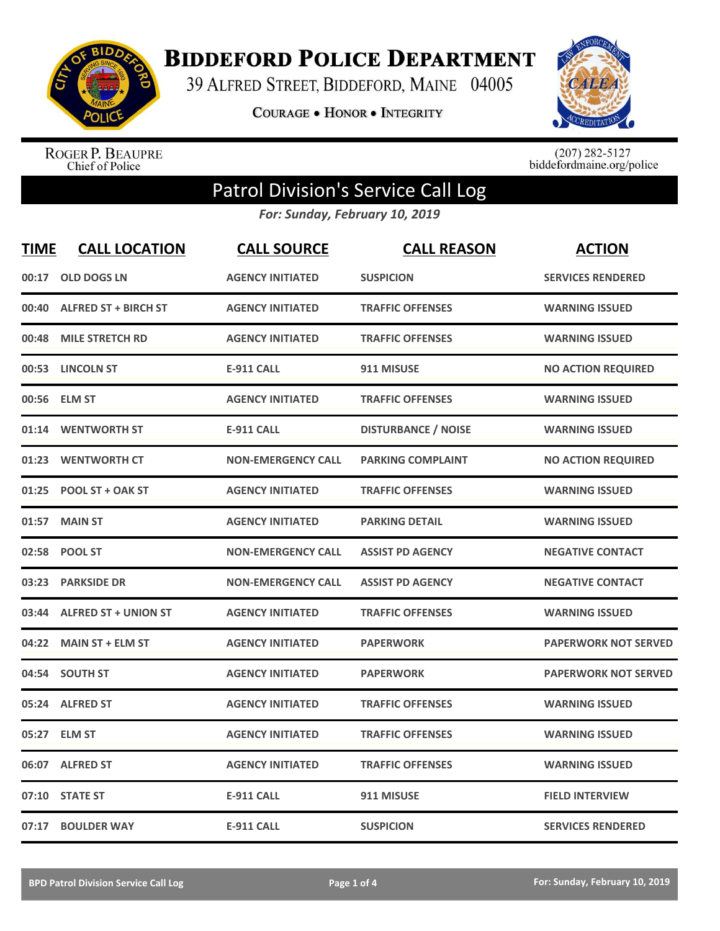

**BIDDEFORD POLICE DEPARTMENT** 

39 ALFRED STREET, BIDDEFORD, MAINE 04005

**COURAGE . HONOR . INTEGRITY** 



ROGER P. BEAUPRE<br>Chief of Police

 $(207)$  282-5127<br>biddefordmaine.org/police

## Patrol Division's Service Call Log

*For: Sunday, February 10, 2019*

| <u>TIME</u> | <b>CALL LOCATION</b>        | <b>CALL SOURCE</b>        | <b>CALL REASON</b>         | <b>ACTION</b>               |
|-------------|-----------------------------|---------------------------|----------------------------|-----------------------------|
| 00:17       | <b>OLD DOGS LN</b>          | <b>AGENCY INITIATED</b>   | <b>SUSPICION</b>           | <b>SERVICES RENDERED</b>    |
| 00:40       | <b>ALFRED ST + BIRCH ST</b> | <b>AGENCY INITIATED</b>   | <b>TRAFFIC OFFENSES</b>    | <b>WARNING ISSUED</b>       |
| 00:48       | <b>MILE STRETCH RD</b>      | <b>AGENCY INITIATED</b>   | <b>TRAFFIC OFFENSES</b>    | <b>WARNING ISSUED</b>       |
| 00:53       | <b>LINCOLN ST</b>           | <b>E-911 CALL</b>         | 911 MISUSE                 | <b>NO ACTION REQUIRED</b>   |
| 00:56       | <b>ELM ST</b>               | <b>AGENCY INITIATED</b>   | <b>TRAFFIC OFFENSES</b>    | <b>WARNING ISSUED</b>       |
| 01:14       | <b>WENTWORTH ST</b>         | <b>E-911 CALL</b>         | <b>DISTURBANCE / NOISE</b> | <b>WARNING ISSUED</b>       |
| 01:23       | <b>WENTWORTH CT</b>         | <b>NON-EMERGENCY CALL</b> | <b>PARKING COMPLAINT</b>   | <b>NO ACTION REQUIRED</b>   |
| 01:25       | <b>POOL ST + OAK ST</b>     | <b>AGENCY INITIATED</b>   | <b>TRAFFIC OFFENSES</b>    | <b>WARNING ISSUED</b>       |
| 01:57       | <b>MAIN ST</b>              | <b>AGENCY INITIATED</b>   | <b>PARKING DETAIL</b>      | <b>WARNING ISSUED</b>       |
| 02:58       | <b>POOL ST</b>              | <b>NON-EMERGENCY CALL</b> | <b>ASSIST PD AGENCY</b>    | <b>NEGATIVE CONTACT</b>     |
| 03:23       | <b>PARKSIDE DR</b>          | <b>NON-EMERGENCY CALL</b> | <b>ASSIST PD AGENCY</b>    | <b>NEGATIVE CONTACT</b>     |
| 03:44       | <b>ALFRED ST + UNION ST</b> | <b>AGENCY INITIATED</b>   | <b>TRAFFIC OFFENSES</b>    | <b>WARNING ISSUED</b>       |
| 04:22       | <b>MAIN ST + ELM ST</b>     | <b>AGENCY INITIATED</b>   | <b>PAPERWORK</b>           | <b>PAPERWORK NOT SERVED</b> |
| 04:54       | <b>SOUTH ST</b>             | <b>AGENCY INITIATED</b>   | <b>PAPERWORK</b>           | <b>PAPERWORK NOT SERVED</b> |
| 05:24       | <b>ALFRED ST</b>            | <b>AGENCY INITIATED</b>   | <b>TRAFFIC OFFENSES</b>    | <b>WARNING ISSUED</b>       |
| 05:27       | <b>ELM ST</b>               | <b>AGENCY INITIATED</b>   | <b>TRAFFIC OFFENSES</b>    | <b>WARNING ISSUED</b>       |
| 06:07       | <b>ALFRED ST</b>            | <b>AGENCY INITIATED</b>   | <b>TRAFFIC OFFENSES</b>    | <b>WARNING ISSUED</b>       |
| 07:10       | <b>STATE ST</b>             | <b>E-911 CALL</b>         | 911 MISUSE                 | <b>FIELD INTERVIEW</b>      |
| 07:17       | <b>BOULDER WAY</b>          | <b>E-911 CALL</b>         | <b>SUSPICION</b>           | <b>SERVICES RENDERED</b>    |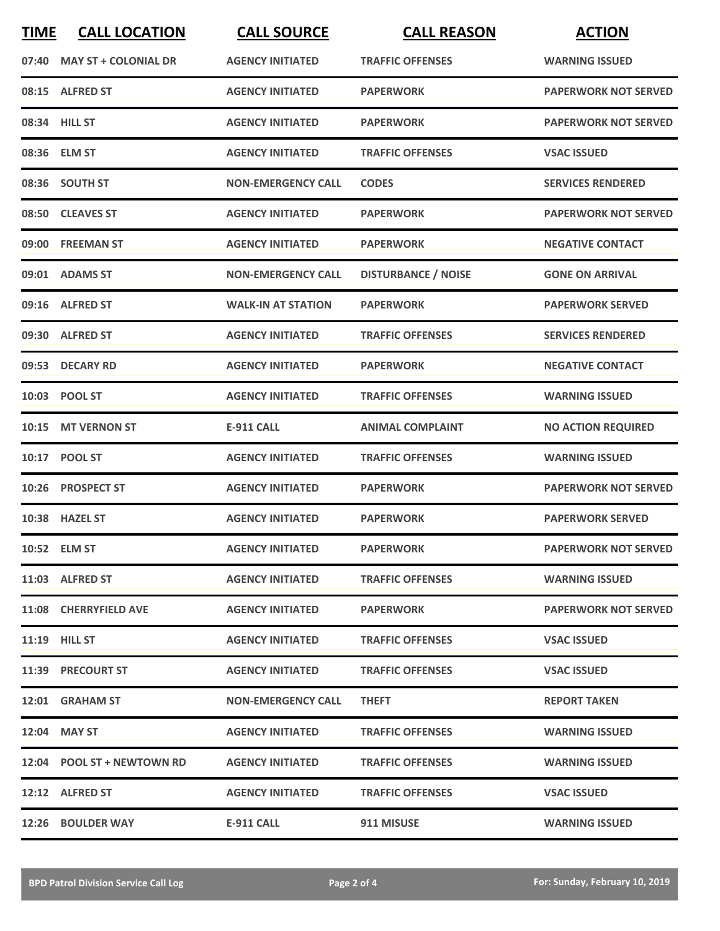| <b>TIME</b> | <b>CALL LOCATION</b>        | <b>CALL SOURCE</b>        | <b>CALL REASON</b>         | <b>ACTION</b>               |
|-------------|-----------------------------|---------------------------|----------------------------|-----------------------------|
| 07:40       | <b>MAY ST + COLONIAL DR</b> | <b>AGENCY INITIATED</b>   | <b>TRAFFIC OFFENSES</b>    | <b>WARNING ISSUED</b>       |
|             | 08:15 ALFRED ST             | <b>AGENCY INITIATED</b>   | <b>PAPERWORK</b>           | <b>PAPERWORK NOT SERVED</b> |
|             | 08:34 HILL ST               | <b>AGENCY INITIATED</b>   | <b>PAPERWORK</b>           | <b>PAPERWORK NOT SERVED</b> |
|             | 08:36 ELM ST                | <b>AGENCY INITIATED</b>   | <b>TRAFFIC OFFENSES</b>    | <b>VSAC ISSUED</b>          |
|             | 08:36 SOUTH ST              | <b>NON-EMERGENCY CALL</b> | <b>CODES</b>               | <b>SERVICES RENDERED</b>    |
|             | 08:50 CLEAVES ST            | <b>AGENCY INITIATED</b>   | <b>PAPERWORK</b>           | <b>PAPERWORK NOT SERVED</b> |
| 09:00       | <b>FREEMAN ST</b>           | <b>AGENCY INITIATED</b>   | <b>PAPERWORK</b>           | <b>NEGATIVE CONTACT</b>     |
|             | 09:01 ADAMS ST              | <b>NON-EMERGENCY CALL</b> | <b>DISTURBANCE / NOISE</b> | <b>GONE ON ARRIVAL</b>      |
|             | 09:16 ALFRED ST             | <b>WALK-IN AT STATION</b> | <b>PAPERWORK</b>           | <b>PAPERWORK SERVED</b>     |
|             | 09:30 ALFRED ST             | <b>AGENCY INITIATED</b>   | <b>TRAFFIC OFFENSES</b>    | <b>SERVICES RENDERED</b>    |
|             | 09:53 DECARY RD             | <b>AGENCY INITIATED</b>   | <b>PAPERWORK</b>           | <b>NEGATIVE CONTACT</b>     |
|             | 10:03 POOL ST               | <b>AGENCY INITIATED</b>   | <b>TRAFFIC OFFENSES</b>    | <b>WARNING ISSUED</b>       |
| 10:15       | <b>MT VERNON ST</b>         | <b>E-911 CALL</b>         | <b>ANIMAL COMPLAINT</b>    | <b>NO ACTION REQUIRED</b>   |
| 10:17       | <b>POOL ST</b>              | <b>AGENCY INITIATED</b>   | <b>TRAFFIC OFFENSES</b>    | <b>WARNING ISSUED</b>       |
|             | 10:26 PROSPECT ST           | <b>AGENCY INITIATED</b>   | <b>PAPERWORK</b>           | <b>PAPERWORK NOT SERVED</b> |
|             | 10:38 HAZEL ST              | <b>AGENCY INITIATED</b>   | <b>PAPERWORK</b>           | <b>PAPERWORK SERVED</b>     |
|             | 10:52 ELM ST                | <b>AGENCY INITIATED</b>   | <b>PAPERWORK</b>           | <b>PAPERWORK NOT SERVED</b> |
|             | 11:03 ALFRED ST             | <b>AGENCY INITIATED</b>   | <b>TRAFFIC OFFENSES</b>    | <b>WARNING ISSUED</b>       |
|             | 11:08 CHERRYFIELD AVE       | <b>AGENCY INITIATED</b>   | <b>PAPERWORK</b>           | <b>PAPERWORK NOT SERVED</b> |
|             | <b>11:19 HILL ST</b>        | <b>AGENCY INITIATED</b>   | <b>TRAFFIC OFFENSES</b>    | <b>VSAC ISSUED</b>          |
|             | 11:39 PRECOURT ST           | <b>AGENCY INITIATED</b>   | <b>TRAFFIC OFFENSES</b>    | <b>VSAC ISSUED</b>          |
|             | 12:01 GRAHAM ST             | <b>NON-EMERGENCY CALL</b> | <b>THEFT</b>               | <b>REPORT TAKEN</b>         |
|             | 12:04 MAY ST                | <b>AGENCY INITIATED</b>   | <b>TRAFFIC OFFENSES</b>    | <b>WARNING ISSUED</b>       |
|             | 12:04 POOL ST + NEWTOWN RD  | <b>AGENCY INITIATED</b>   | <b>TRAFFIC OFFENSES</b>    | <b>WARNING ISSUED</b>       |
|             | 12:12 ALFRED ST             | <b>AGENCY INITIATED</b>   | <b>TRAFFIC OFFENSES</b>    | <b>VSAC ISSUED</b>          |
|             | 12:26 BOULDER WAY           | <b>E-911 CALL</b>         | 911 MISUSE                 | <b>WARNING ISSUED</b>       |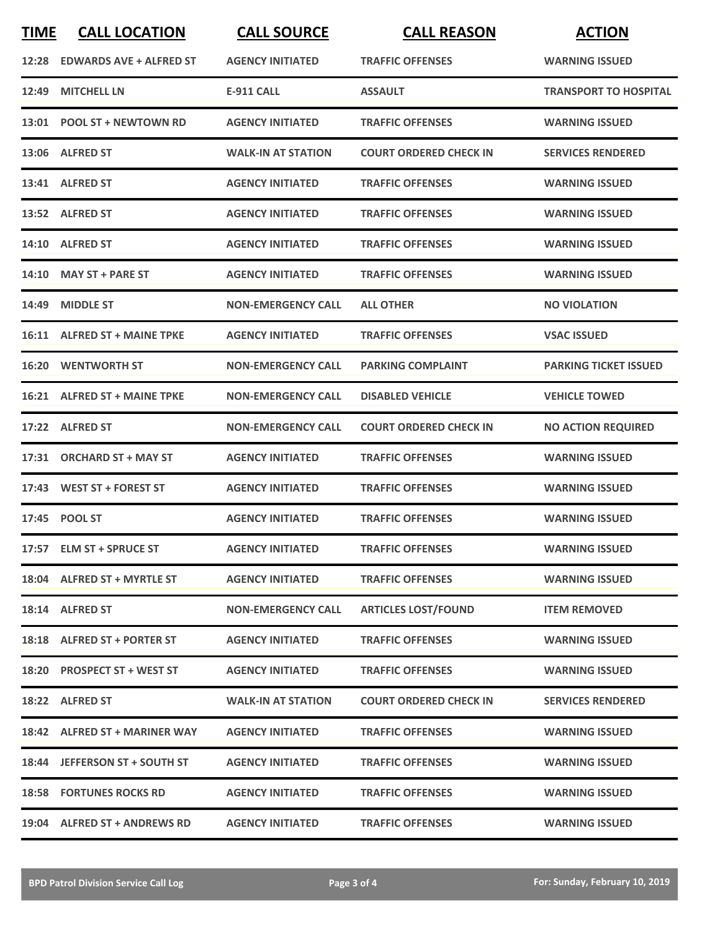| <b>TIME</b> | <b>CALL LOCATION</b>           | <b>CALL SOURCE</b>        | <b>CALL REASON</b>            | <b>ACTION</b>                |
|-------------|--------------------------------|---------------------------|-------------------------------|------------------------------|
|             | 12:28 EDWARDS AVE + ALFRED ST  | <b>AGENCY INITIATED</b>   | <b>TRAFFIC OFFENSES</b>       | <b>WARNING ISSUED</b>        |
| 12:49       | <b>MITCHELL LN</b>             | <b>E-911 CALL</b>         | <b>ASSAULT</b>                | <b>TRANSPORT TO HOSPITAL</b> |
|             | 13:01 POOL ST + NEWTOWN RD     | <b>AGENCY INITIATED</b>   | <b>TRAFFIC OFFENSES</b>       | <b>WARNING ISSUED</b>        |
|             | 13:06 ALFRED ST                | <b>WALK-IN AT STATION</b> | <b>COURT ORDERED CHECK IN</b> | <b>SERVICES RENDERED</b>     |
|             | 13:41 ALFRED ST                | <b>AGENCY INITIATED</b>   | <b>TRAFFIC OFFENSES</b>       | <b>WARNING ISSUED</b>        |
|             | 13:52 ALFRED ST                | <b>AGENCY INITIATED</b>   | <b>TRAFFIC OFFENSES</b>       | <b>WARNING ISSUED</b>        |
|             | 14:10 ALFRED ST                | <b>AGENCY INITIATED</b>   | <b>TRAFFIC OFFENSES</b>       | <b>WARNING ISSUED</b>        |
| 14:10       | <b>MAY ST + PARE ST</b>        | <b>AGENCY INITIATED</b>   | <b>TRAFFIC OFFENSES</b>       | <b>WARNING ISSUED</b>        |
| 14:49       | <b>MIDDLE ST</b>               | <b>NON-EMERGENCY CALL</b> | <b>ALL OTHER</b>              | <b>NO VIOLATION</b>          |
|             | 16:11 ALFRED ST + MAINE TPKE   | <b>AGENCY INITIATED</b>   | <b>TRAFFIC OFFENSES</b>       | <b>VSAC ISSUED</b>           |
|             | <b>16:20 WENTWORTH ST</b>      | <b>NON-EMERGENCY CALL</b> | <b>PARKING COMPLAINT</b>      | <b>PARKING TICKET ISSUED</b> |
|             | 16:21 ALFRED ST + MAINE TPKE   | <b>NON-EMERGENCY CALL</b> | <b>DISABLED VEHICLE</b>       | <b>VEHICLE TOWED</b>         |
|             | 17:22 ALFRED ST                | <b>NON-EMERGENCY CALL</b> | <b>COURT ORDERED CHECK IN</b> | <b>NO ACTION REQUIRED</b>    |
| 17:31       | <b>ORCHARD ST + MAY ST</b>     | <b>AGENCY INITIATED</b>   | <b>TRAFFIC OFFENSES</b>       | <b>WARNING ISSUED</b>        |
|             | 17:43 WEST ST + FOREST ST      | <b>AGENCY INITIATED</b>   | <b>TRAFFIC OFFENSES</b>       | <b>WARNING ISSUED</b>        |
|             | 17:45 POOL ST                  | <b>AGENCY INITIATED</b>   | <b>TRAFFIC OFFENSES</b>       | <b>WARNING ISSUED</b>        |
|             | 17:57 ELM ST + SPRUCE ST       | <b>AGENCY INITIATED</b>   | <b>TRAFFIC OFFENSES</b>       | <b>WARNING ISSUED</b>        |
|             | 18:04 ALFRED ST + MYRTLE ST    | <b>AGENCY INITIATED</b>   | <b>TRAFFIC OFFENSES</b>       | <b>WARNING ISSUED</b>        |
|             | 18:14 ALFRED ST                | <b>NON-EMERGENCY CALL</b> | <b>ARTICLES LOST/FOUND</b>    | <b>ITEM REMOVED</b>          |
|             | 18:18 ALFRED ST + PORTER ST    | <b>AGENCY INITIATED</b>   | <b>TRAFFIC OFFENSES</b>       | <b>WARNING ISSUED</b>        |
|             | 18:20 PROSPECT ST + WEST ST    | <b>AGENCY INITIATED</b>   | <b>TRAFFIC OFFENSES</b>       | <b>WARNING ISSUED</b>        |
|             | 18:22 ALFRED ST                | <b>WALK-IN AT STATION</b> | <b>COURT ORDERED CHECK IN</b> | <b>SERVICES RENDERED</b>     |
|             | 18:42 ALFRED ST + MARINER WAY  | <b>AGENCY INITIATED</b>   | <b>TRAFFIC OFFENSES</b>       | <b>WARNING ISSUED</b>        |
|             | 18:44 JEFFERSON ST + SOUTH ST  | <b>AGENCY INITIATED</b>   | <b>TRAFFIC OFFENSES</b>       | <b>WARNING ISSUED</b>        |
|             | <b>18:58 FORTUNES ROCKS RD</b> | <b>AGENCY INITIATED</b>   | <b>TRAFFIC OFFENSES</b>       | <b>WARNING ISSUED</b>        |
|             | 19:04 ALFRED ST + ANDREWS RD   | <b>AGENCY INITIATED</b>   | <b>TRAFFIC OFFENSES</b>       | <b>WARNING ISSUED</b>        |